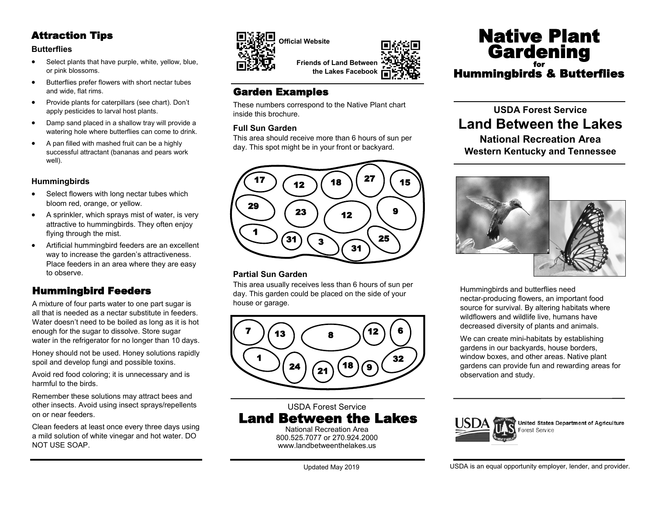# Attraction Tips

#### **Butterflies**

- Select plants that have purple, white, yellow, blue, or pink blossoms.
- Butterflies prefer flowers with short nectar tubes and wide, flat rims.
- Provide plants for caterpillars (see chart). Don't apply pesticides to larval host plants.
- Damp sand placed in a shallow tray will provide a watering hole where butterflies can come to drink.
- A pan filled with mashed fruit can be a highly successful attractant (bananas and pears work well).

#### **Hummingbirds**

- Select flowers with long nectar tubes which bloom red, orange, or yellow.
- A sprinkler, which sprays mist of water, is very attractive to hummingbirds. They often enjoy flying through the mist.
- Artificial hummingbird feeders are an excellent way to increase the garden's attractiveness. Place feeders in an area where they are easy to observe.

# Hummingbird Feeders

A mixture of four parts water to one part sugar is all that is needed as a nectar substitute in feeders. Water doesn't need to be boiled as long as it is hot enough for the sugar to dissolve. Store sugar water in the refrigerator for no longer than 10 days.

Honey should not be used. Honey solutions rapidly spoil and develop fungi and possible toxins.

Avoid red food coloring; it is unnecessary and is harmful to the birds.

Remember these solutions may attract bees and other insects. Avoid using insect sprays/repellents on or near feeders.

Clean feeders at least once every three days using a mild solution of white vinegar and hot water. DO NOT USE SOAP.





**the Lakes Facebook**

# Garden Examples

These numbers correspond to the Native Plant chart inside this brochure.

#### **Full Sun Garden**

This area should receive more than 6 hours of sun per day. This spot might be in your front or backyard.



#### **Partial Sun Garden**

This area usually receives less than 6 hours of sun per day. This garden could be placed on the side of your house or garage.



USDA Forest Service Land Between the Lakes National Recreation Area

800.525.7077 or 270.924.2000 [www.landbetweenthelakes.us](http://www.landbetweenthelakes.us)

Native Plant **Gardening** for Hummingbirds & Butterflies

# **USDA Forest Service Land Between the Lakes**

**National Recreation Area Western Kentucky and Tennessee**



Hummingbirds and butterflies need nectar-producing flowers, an important food source for survival. By altering habitats where wildflowers and wildlife live, humans have decreased diversity of plants and animals.

We can create mini-habitats by establishing gardens in our backyards, house borders, window boxes, and other areas. Native plant gardens can provide fun and rewarding areas for observation and study.



USDA is an equal opportunity employer, lender, and provider.